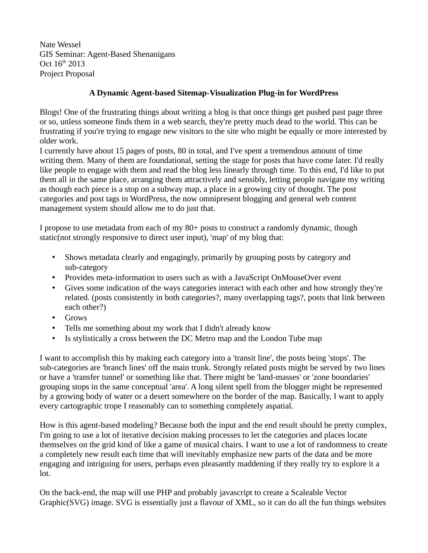Nate Wessel GIS Seminar: Agent-Based Shenanigans Oct  $16^{th}$  2013 Project Proposal

## **A Dynamic Agent-based Sitemap-Visualization Plug-in for WordPress**

Blogs! One of the frustrating things about writing a blog is that once things get pushed past page three or so, unless someone finds them in a web search, they're pretty much dead to the world. This can be frustrating if you're trying to engage new visitors to the site who might be equally or more interested by older work.

I currently have about 15 pages of posts, 80 in total, and I've spent a tremendous amount of time writing them. Many of them are foundational, setting the stage for posts that have come later. I'd really like people to engage with them and read the blog less linearly through time. To this end, I'd like to put them all in the same place, arranging them attractively and sensibly, letting people navigate my writing as though each piece is a stop on a subway map, a place in a growing city of thought. The post categories and post tags in WordPress, the now omnipresent blogging and general web content management system should allow me to do just that.

I propose to use metadata from each of my 80+ posts to construct a randomly dynamic, though static(not strongly responsive to direct user input), 'map' of my blog that:

- Shows metadata clearly and engagingly, primarily by grouping posts by category and sub-category
- Provides meta-information to users such as with a JavaScript OnMouseOver event
- Gives some indication of the ways categories interact with each other and how strongly they're related. (posts consistently in both categories?, many overlapping tags?, posts that link between each other?)
- Grows
- Tells me something about my work that I didn't already know
- Is stylistically a cross between the DC Metro map and the London Tube map

I want to accomplish this by making each category into a 'transit line', the posts being 'stops'. The sub-categories are 'branch lines' off the main trunk. Strongly related posts might be served by two lines or have a 'transfer tunnel' or something like that. There might be 'land-masses' or 'zone boundaries' grouping stops in the same conceptual 'area'. A long silent spell from the blogger might be represented by a growing body of water or a desert somewhere on the border of the map. Basically, I want to apply every cartographic trope I reasonably can to something completely aspatial.

How is this agent-based modeling? Because both the input and the end result should be pretty complex, I'm going to use a lot of iterative decision making processes to let the categories and places locate themselves on the grid kind of like a game of musical chairs. I want to use a lot of randomness to create a completely new result each time that will inevitably emphasize new parts of the data and be more engaging and intriguing for users, perhaps even pleasantly maddening if they really try to explore it a lot.

On the back-end, the map will use PHP and probably javascript to create a Scaleable Vector Graphic(SVG) image. SVG is essentially just a flavour of XML, so it can do all the fun things websites